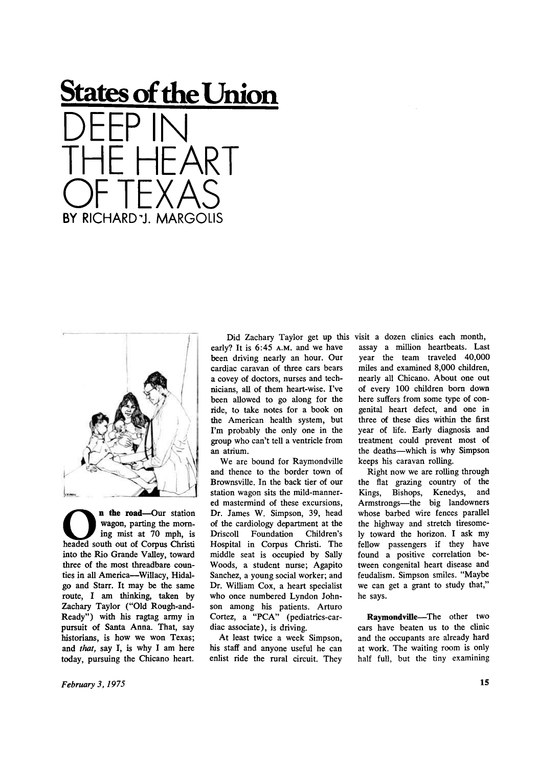



**O h n the road**—Our station<br>
wagon, parting the morn-<br>
ing mist at 70 mph, is<br>
headed south out of Corpus Christi n the road**—**Our station wagon, parting the morning mist at 70 mph, is into the Rio Grande Valley, toward three of the most threadbare counties in all America--Willacy, Hidalgo and Starr. It may be the same route, I am thinking, taken by Zachary Taylor ("Old Rough-and-Ready") with his ragtag army in pursuit of Santa Anna. That, say historians, is how we won Texas; and *that,* say I, is why I am here today, pursuing the Chicano heart.

early? It is 6:45 A.M. and we have been driving nearly an hour. Our cardiac caravan of three cars bears a covey of doctors, nurses and technicians, all of them heart-wise. I've been allowed to go along for the ride, to take notes for a book on the American health system, but I'm probably the only one in the group who can't tell a ventricle from an atrium.

We are bound for Raymondville and thence to the border town of Brownsville. In the back tier of our station wagon sits the mild-mannered mastermind of these excursions, Dr. James W. Simpson, 39, head of the cardiology department at the Driscoll Foundation Children's Hospital in Corpus Christi. The middle seat is occupied by Sally Woods, a student nurse; Agapito Sanchez, a young social worker; and Dr. William Cox, a heart specialist who once numbered Lyndon Johnson among his patients. Arturo Cortez, a "PCA" (pediatrics-cardiac associate), is driving.

At least twice a week Simpson, his staff and anyone useful he can enlist ride the rural circuit. They

Did Zachary Taylor get up this visit a dozen clinics each month, assay a million heartbeats. Last year the team traveled 40,000 miles and examined 8,000 children, nearly all Chicano. About one out of every 100 children born down here suffers from some type of congenital heart defect, and one in three of these dies within the first year of fife. Early diagnosis and treatment could prevent most of the deaths—which is why Simpson keeps his caravan rolling.

> Right now we are rolling through the flat grazing country of the Kings, Bishops, Kenedys, and Armstrongs—the big landowners whose barbed wire fences parallel the highway and stretch tiresomely toward the horizon. I ask my fellow passengers if they have found a positive correlation between congenital heart disease and feudalism. Simpson smiles. "Maybe we can get a grant to study that," he says.

> **Raymondville**—The other two cars have beaten us to the clinic and the occupants are already hard at work. The waiting room is only half full, but the tiny examining